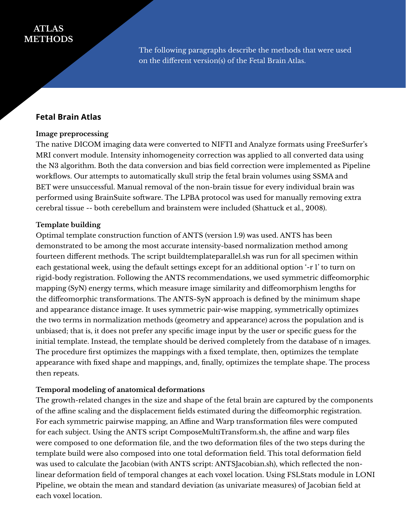# **ATLAS METHODS**

The following paragraphs describe the methods that were used on the different version(s) of the Fetal Brain Atlas.

# **Fetal Brain Atlas**

#### **Image preprocessing**

The native DICOM imaging data were converted to NIFTI and Analyze formats using FreeSurfer's MRI convert module. Intensity inhomogeneity correction was applied to all converted data using the N3 algorithm. Both the data conversion and bias field correction were implemented as Pipeline workflows. Our attempts to automatically skull strip the fetal brain volumes using SSMA and BET were unsuccessful. Manual removal of the non-brain tissue for every individual brain was performed using BrainSuite software. The LPBA protocol was used for manually removing extra cerebral tissue -- both cerebellum and brainstem were included (Shattuck et al., 2008).

#### **Template building**

Optimal template construction function of ANTS (version 1.9) was used. ANTS has been demonstrated to be among the most accurate intensity-based normalization method among fourteen different methods. The script buildtemplateparallel.sh was run for all specimen within each gestational week, using the default settings except for an additional option '-r 1' to turn on rigid-body registration. Following the ANTS recommendations, we used symmetric diffeomorphic mapping (SyN) energy terms, which measure image similarity and diffeomorphism lengths for the diffeomorphic transformations. The ANTS-SyN approach is defined by the minimum shape and appearance distance image. It uses symmetric pair-wise mapping, symmetrically optimizes the two terms in normalization methods (geometry and appearance) across the population and is unbiased; that is, it does not prefer any specific image input by the user or specific guess for the initial template. Instead, the template should be derived completely from the database of n images. The procedure first optimizes the mappings with a fixed template, then, optimizes the template appearance with fixed shape and mappings, and, finally, optimizes the template shape. The process then repeats.

#### **Temporal modeling of anatomical deformations**

The growth-related changes in the size and shape of the fetal brain are captured by the components of the affine scaling and the displacement fields estimated during the diffeomorphic registration. For each symmetric pairwise mapping, an Affine and Warp transformation files were computed for each subject. Using the ANTS script ComposeMultiTransform.sh, the affine and warp files were composed to one deformation file, and the two deformation files of the two steps during the template build were also composed into one total deformation field. This total deformation field was used to calculate the Jacobian (with ANTS script: ANTSJacobian.sh), which reflected the nonlinear deformation field of temporal changes at each voxel location. Using FSLStats module in LONI Pipeline, we obtain the mean and standard deviation (as univariate measures) of Jacobian field at each voxel location.